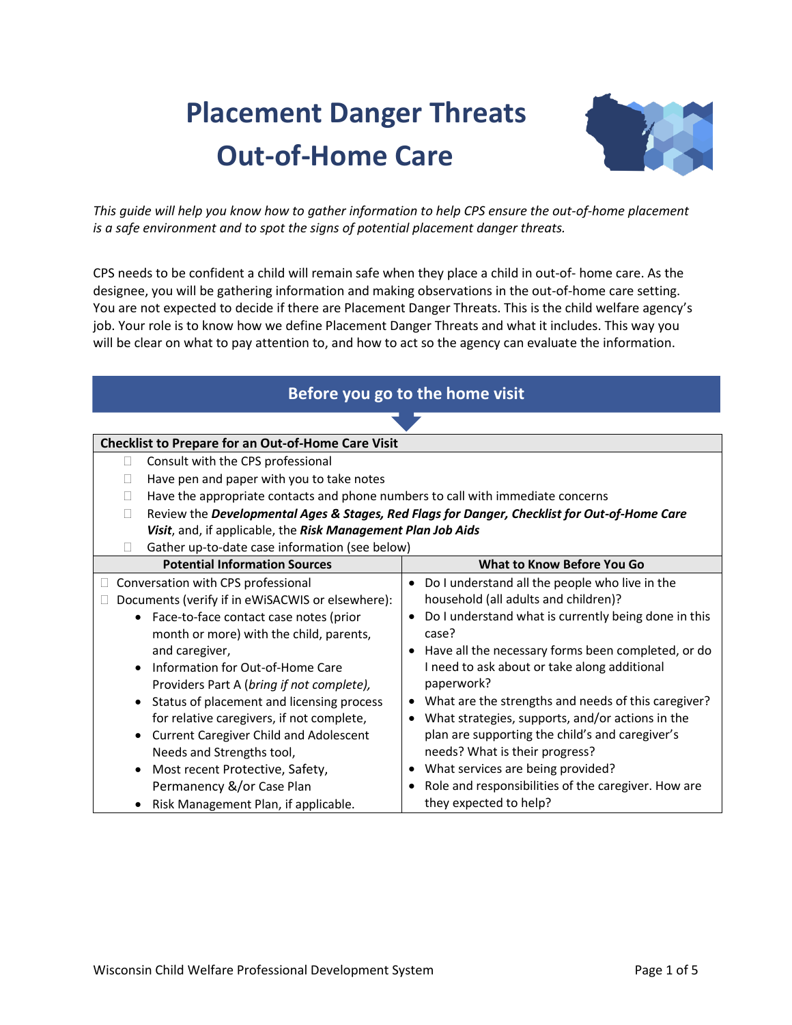# **Placement Danger Threats Out-of-Home Care**



*This guide will help you know how to gather information to help CPS ensure the out-of-home placement is a safe environment and to spot the signs of potential placement danger threats.*

CPS needs to be confident a child will remain safe when they place a child in out-of- home care. As the designee, you will be gathering information and making observations in the out-of-home care setting. You are not expected to decide if there are Placement Danger Threats. This is the child welfare agency's job. Your role is to know how we define Placement Danger Threats and what it includes. This way you will be clear on what to pay attention to, and how to act so the agency can evaluate the information.

| Before you go to the home visit                                                              |                                                                   |  |  |
|----------------------------------------------------------------------------------------------|-------------------------------------------------------------------|--|--|
|                                                                                              |                                                                   |  |  |
| <b>Checklist to Prepare for an Out-of-Home Care Visit</b>                                    |                                                                   |  |  |
| Consult with the CPS professional<br>$\vert \ \ \vert$                                       |                                                                   |  |  |
| Have pen and paper with you to take notes                                                    |                                                                   |  |  |
| Have the appropriate contacts and phone numbers to call with immediate concerns              |                                                                   |  |  |
| Review the Developmental Ages & Stages, Red Flags for Danger, Checklist for Out-of-Home Care |                                                                   |  |  |
| Visit, and, if applicable, the Risk Management Plan Job Aids                                 |                                                                   |  |  |
| Gather up-to-date case information (see below)                                               |                                                                   |  |  |
| <b>Potential Information Sources</b><br>What to Know Before You Go                           |                                                                   |  |  |
| Conversation with CPS professional                                                           | Do I understand all the people who live in the<br>$\bullet$       |  |  |
| Documents (verify if in eWiSACWIS or elsewhere):                                             | household (all adults and children)?                              |  |  |
| Face-to-face contact case notes (prior<br>$\bullet$                                          | Do I understand what is currently being done in this<br>$\bullet$ |  |  |
| month or more) with the child, parents,                                                      | case?                                                             |  |  |
| and caregiver,                                                                               | • Have all the necessary forms been completed, or do              |  |  |
| Information for Out-of-Home Care<br>$\bullet$                                                | I need to ask about or take along additional                      |  |  |
| Providers Part A (bring if not complete),                                                    | paperwork?                                                        |  |  |
| Status of placement and licensing process<br>$\bullet$                                       | What are the strengths and needs of this caregiver?<br>$\bullet$  |  |  |
| for relative caregivers, if not complete,                                                    | What strategies, supports, and/or actions in the<br>$\bullet$     |  |  |
| <b>Current Caregiver Child and Adolescent</b><br>$\bullet$                                   | plan are supporting the child's and caregiver's                   |  |  |
| Needs and Strengths tool,                                                                    | needs? What is their progress?                                    |  |  |
| Most recent Protective, Safety,<br>$\bullet$                                                 | What services are being provided?                                 |  |  |
| Permanency &/or Case Plan                                                                    | Role and responsibilities of the caregiver. How are<br>$\bullet$  |  |  |
| Risk Management Plan, if applicable.                                                         | they expected to help?                                            |  |  |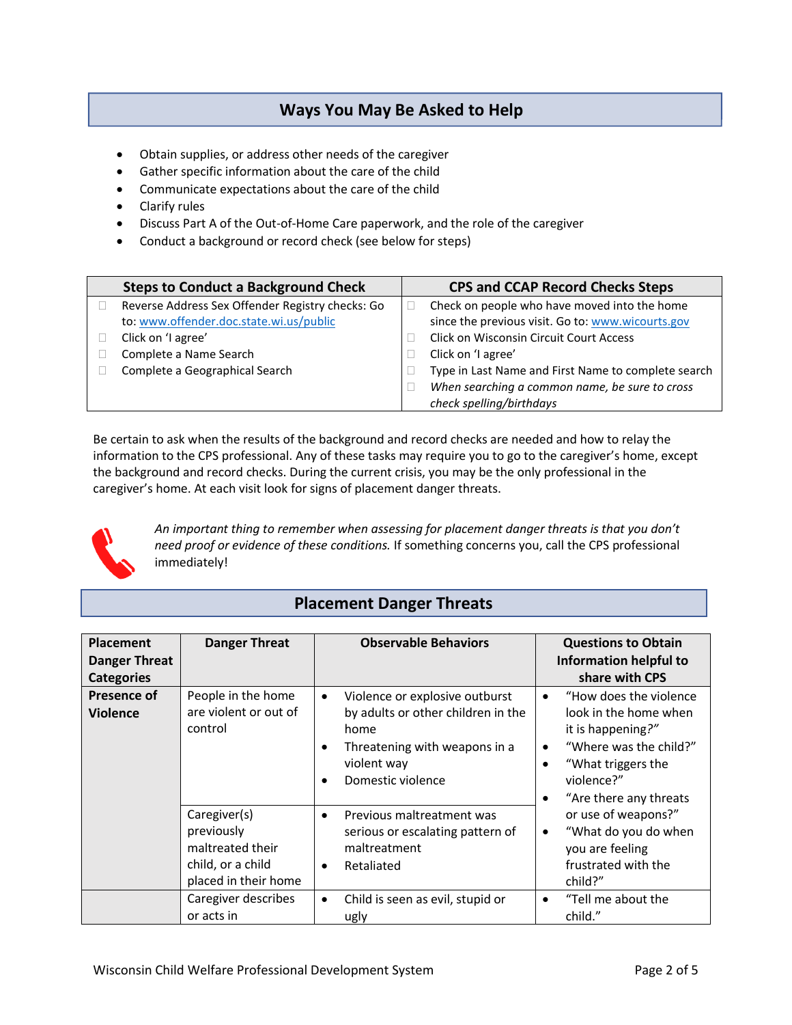## **Ways You May Be Asked to Help**

- Obtain supplies, or address other needs of the caregiver
- Gather specific information about the care of the child
- Communicate expectations about the care of the child
- Clarify rules
- Discuss Part A of the Out-of-Home Care paperwork, and the role of the caregiver
- Conduct a background or record check (see below for steps)

| <b>Steps to Conduct a Background Check</b>                                                  | <b>CPS and CCAP Record Checks Steps</b>                                                           |
|---------------------------------------------------------------------------------------------|---------------------------------------------------------------------------------------------------|
| Reverse Address Sex Offender Registry checks: Go<br>to: www.offender.doc.state.wi.us/public | Check on people who have moved into the home<br>since the previous visit. Go to: www.wicourts.gov |
| Click on 'I agree'                                                                          | <b>Click on Wisconsin Circuit Court Access</b>                                                    |
| Complete a Name Search                                                                      | Click on 'I agree'                                                                                |
| Complete a Geographical Search                                                              | Type in Last Name and First Name to complete search                                               |
|                                                                                             | When searching a common name, be sure to cross<br>check spelling/birthdays                        |

Be certain to ask when the results of the background and record checks are needed and how to relay the information to the CPS professional. Any of these tasks may require you to go to the caregiver's home, except the background and record checks. During the current crisis, you may be the only professional in the caregiver's home. At each visit look for signs of placement danger threats.



*An important thing to remember when assessing for placement danger threats is that you don't need proof or evidence of these conditions.* If something concerns you, call the CPS professional immediately!

### **Placement Danger Threats**

| <b>Placement</b><br><b>Danger Threat</b><br><b>Categories</b> | <b>Danger Threat</b>                                                                                     | <b>Observable Behaviors</b>                                                                                                                                    | <b>Questions to Obtain</b><br>Information helpful to<br>share with CPS                                                                                                                                    |
|---------------------------------------------------------------|----------------------------------------------------------------------------------------------------------|----------------------------------------------------------------------------------------------------------------------------------------------------------------|-----------------------------------------------------------------------------------------------------------------------------------------------------------------------------------------------------------|
| <b>Presence of</b><br>Violence                                | People in the home<br>are violent or out of<br>control                                                   | Violence or explosive outburst<br>$\bullet$<br>by adults or other children in the<br>home<br>Threatening with weapons in a<br>violent way<br>Domestic violence | "How does the violence"<br>$\bullet$<br>look in the home when<br>it is happening?"<br>"Where was the child?"<br>$\bullet$<br>"What triggers the<br>٠<br>violence?"<br>"Are there any threats<br>$\bullet$ |
|                                                               | Caregiver(s)<br>$\bullet$<br>previously<br>maltreated their<br>child, or a child<br>placed in their home | Previous maltreatment was<br>serious or escalating pattern of<br>maltreatment<br>Retaliated                                                                    | or use of weapons?"<br>"What do you do when<br>$\bullet$<br>you are feeling<br>frustrated with the<br>child?"                                                                                             |
|                                                               | Caregiver describes<br>or acts in                                                                        | Child is seen as evil, stupid or<br>$\bullet$<br>ugly                                                                                                          | "Tell me about the<br>$\bullet$<br>child."                                                                                                                                                                |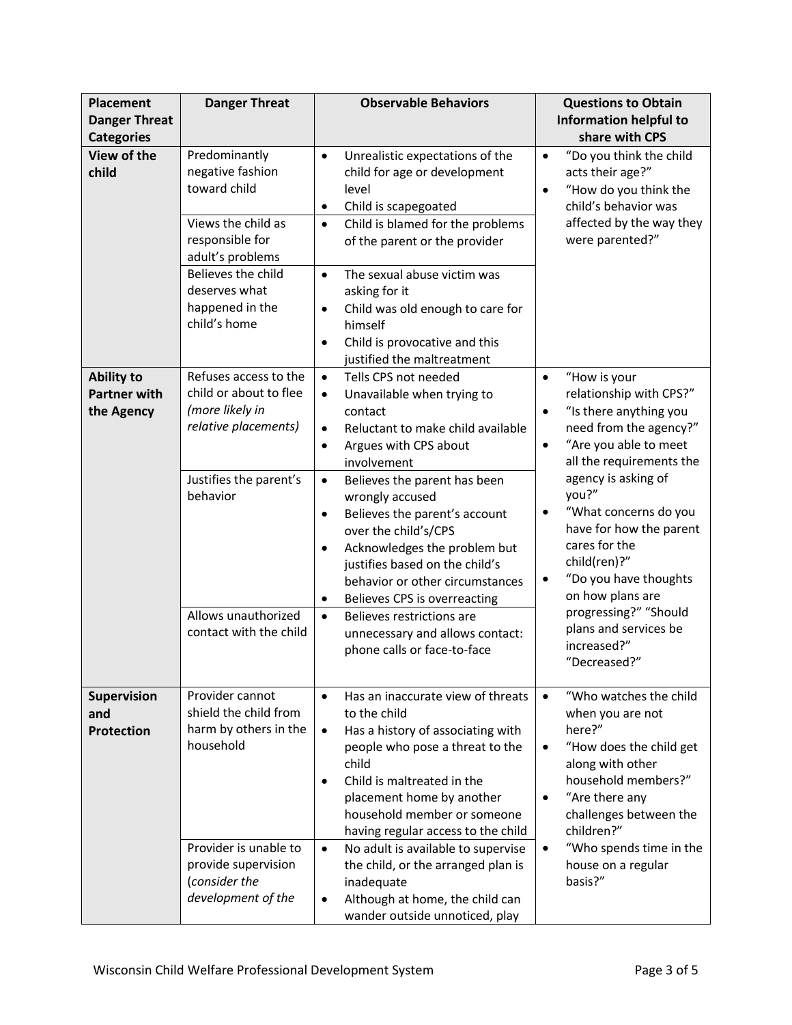| <b>Placement</b><br><b>Danger Threat</b>               | <b>Danger Threat</b>                                                                                                                                                                     | <b>Observable Behaviors</b>                                                                                                                                                                                                                                                                                                                                                                                                                                                                                                                                                                                                      | <b>Questions to Obtain</b><br><b>Information helpful to</b>                                                                                                                                                                                                                                                                                                                                                                                                          |
|--------------------------------------------------------|------------------------------------------------------------------------------------------------------------------------------------------------------------------------------------------|----------------------------------------------------------------------------------------------------------------------------------------------------------------------------------------------------------------------------------------------------------------------------------------------------------------------------------------------------------------------------------------------------------------------------------------------------------------------------------------------------------------------------------------------------------------------------------------------------------------------------------|----------------------------------------------------------------------------------------------------------------------------------------------------------------------------------------------------------------------------------------------------------------------------------------------------------------------------------------------------------------------------------------------------------------------------------------------------------------------|
| <b>Categories</b><br>View of the<br>child              | Predominantly<br>negative fashion<br>toward child<br>Views the child as<br>responsible for<br>adult's problems<br>Believes the child<br>deserves what<br>happened in the<br>child's home | Unrealistic expectations of the<br>$\bullet$<br>child for age or development<br>level<br>Child is scapegoated<br>$\bullet$<br>Child is blamed for the problems<br>$\bullet$<br>of the parent or the provider<br>The sexual abuse victim was<br>$\bullet$<br>asking for it<br>Child was old enough to care for<br>$\bullet$<br>himself<br>Child is provocative and this<br>$\bullet$                                                                                                                                                                                                                                              | share with CPS<br>"Do you think the child<br>$\bullet$<br>acts their age?"<br>"How do you think the<br>$\bullet$<br>child's behavior was<br>affected by the way they<br>were parented?"                                                                                                                                                                                                                                                                              |
| <b>Ability to</b><br><b>Partner with</b><br>the Agency | Refuses access to the<br>child or about to flee<br>(more likely in<br>relative placements)<br>Justifies the parent's<br>behavior<br>Allows unauthorized<br>contact with the child        | justified the maltreatment<br>Tells CPS not needed<br>$\bullet$<br>Unavailable when trying to<br>$\bullet$<br>contact<br>Reluctant to make child available<br>$\bullet$<br>Argues with CPS about<br>$\bullet$<br>involvement<br>Believes the parent has been<br>$\bullet$<br>wrongly accused<br>Believes the parent's account<br>$\bullet$<br>over the child's/CPS<br>Acknowledges the problem but<br>justifies based on the child's<br>behavior or other circumstances<br>Believes CPS is overreacting<br>$\bullet$<br>$\bullet$<br>Believes restrictions are<br>unnecessary and allows contact:<br>phone calls or face-to-face | "How is your<br>$\bullet$<br>relationship with CPS?"<br>"Is there anything you<br>$\bullet$<br>need from the agency?"<br>"Are you able to meet<br>$\bullet$<br>all the requirements the<br>agency is asking of<br>you?"<br>"What concerns do you<br>$\bullet$<br>have for how the parent<br>cares for the<br>child(ren)?"<br>"Do you have thoughts<br>$\bullet$<br>on how plans are<br>progressing?" "Should<br>plans and services be<br>increased?"<br>"Decreased?" |
| Supervision<br>and<br><b>Protection</b>                | Provider cannot<br>shield the child from<br>harm by others in the<br>household<br>Provider is unable to<br>provide supervision<br>(consider the<br>development of the                    | Has an inaccurate view of threats<br>$\bullet$<br>to the child<br>Has a history of associating with<br>$\bullet$<br>people who pose a threat to the<br>child<br>Child is maltreated in the<br>$\bullet$<br>placement home by another<br>household member or someone<br>having regular access to the child<br>No adult is available to supervise<br>$\bullet$<br>the child, or the arranged plan is<br>inadequate<br>Although at home, the child can<br>wander outside unnoticed, play                                                                                                                                            | "Who watches the child<br>when you are not<br>here?"<br>"How does the child get<br>$\bullet$<br>along with other<br>household members?"<br>"Are there any<br>$\bullet$<br>challenges between the<br>children?"<br>"Who spends time in the<br>$\bullet$<br>house on a regular<br>basis?"                                                                                                                                                                              |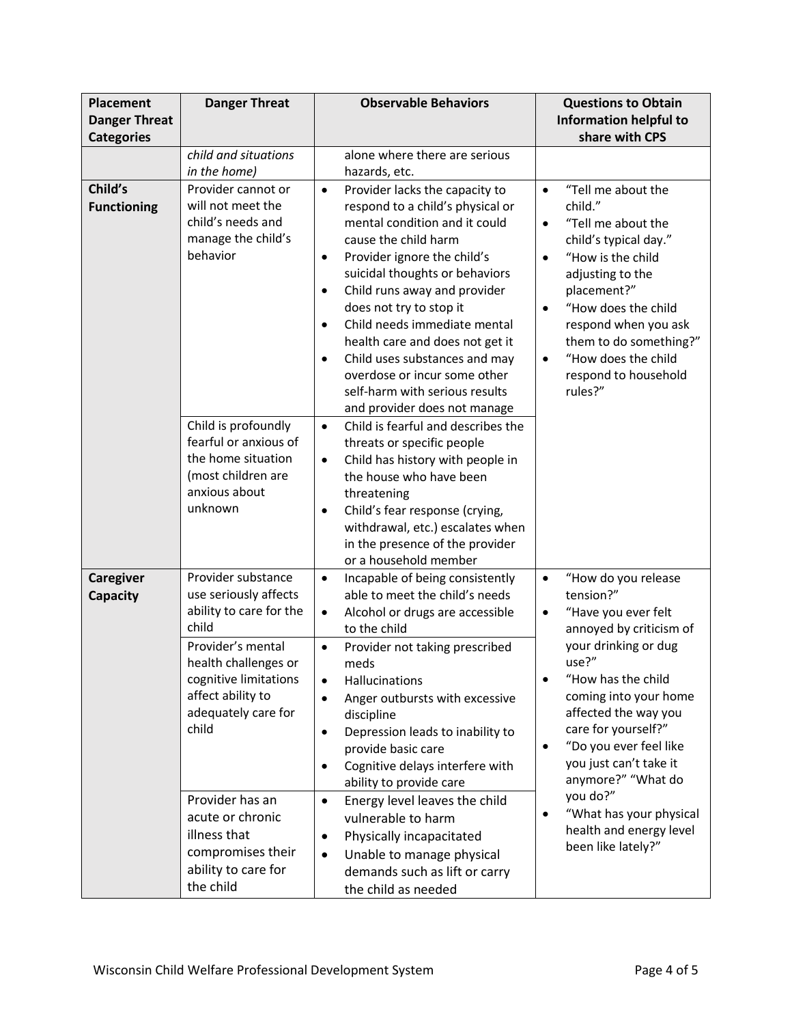| <b>Placement</b>     | <b>Danger Threat</b>                          | <b>Observable Behaviors</b>                                | <b>Questions to Obtain</b>                     |
|----------------------|-----------------------------------------------|------------------------------------------------------------|------------------------------------------------|
| <b>Danger Threat</b> |                                               |                                                            | <b>Information helpful to</b>                  |
| <b>Categories</b>    | child and situations                          | alone where there are serious                              | share with CPS                                 |
|                      | in the home)                                  | hazards, etc.                                              |                                                |
| Child's              | Provider cannot or                            | Provider lacks the capacity to<br>$\bullet$                | "Tell me about the<br>$\bullet$                |
| <b>Functioning</b>   | will not meet the                             | respond to a child's physical or                           | child."                                        |
|                      | child's needs and                             | mental condition and it could                              | "Tell me about the<br>$\bullet$                |
|                      | manage the child's                            | cause the child harm                                       | child's typical day."                          |
|                      | behavior                                      | Provider ignore the child's<br>$\bullet$                   | "How is the child<br>$\bullet$                 |
|                      |                                               | suicidal thoughts or behaviors                             | adjusting to the                               |
|                      |                                               | Child runs away and provider<br>$\bullet$                  | placement?"                                    |
|                      |                                               | does not try to stop it<br>Child needs immediate mental    | "How does the child<br>$\bullet$               |
|                      |                                               | $\bullet$<br>health care and does not get it               | respond when you ask<br>them to do something?" |
|                      |                                               | Child uses substances and may<br>$\bullet$                 | "How does the child<br>$\bullet$               |
|                      |                                               | overdose or incur some other                               | respond to household                           |
|                      |                                               | self-harm with serious results                             | rules?"                                        |
|                      |                                               | and provider does not manage                               |                                                |
|                      | Child is profoundly                           | Child is fearful and describes the<br>$\bullet$            |                                                |
|                      | fearful or anxious of                         | threats or specific people                                 |                                                |
|                      | the home situation                            | Child has history with people in<br>$\bullet$              |                                                |
|                      | (most children are<br>anxious about           | the house who have been                                    |                                                |
|                      | unknown                                       | threatening<br>Child's fear response (crying,<br>$\bullet$ |                                                |
|                      |                                               | withdrawal, etc.) escalates when                           |                                                |
|                      |                                               | in the presence of the provider                            |                                                |
|                      |                                               | or a household member                                      |                                                |
| Caregiver            | Provider substance                            | Incapable of being consistently<br>$\bullet$               | "How do you release<br>$\bullet$               |
| <b>Capacity</b>      | use seriously affects                         | able to meet the child's needs                             | tension?"                                      |
|                      | ability to care for the                       | Alcohol or drugs are accessible<br>$\bullet$               | "Have you ever felt<br>$\bullet$               |
|                      | child                                         | to the child                                               | annoyed by criticism of                        |
|                      | Provider's mental                             | Provider not taking prescribed<br>$\bullet$                | your drinking or dug<br>use?"                  |
|                      | health challenges or<br>cognitive limitations | meds<br>Hallucinations<br>$\bullet$                        | "How has the child                             |
|                      | affect ability to                             | Anger outbursts with excessive<br>$\bullet$                | coming into your home                          |
|                      | adequately care for                           | discipline                                                 | affected the way you                           |
|                      | child                                         | Depression leads to inability to<br>$\bullet$              | care for yourself?"                            |
|                      |                                               | provide basic care                                         | "Do you ever feel like<br>$\bullet$            |
|                      |                                               | Cognitive delays interfere with<br>$\bullet$               | you just can't take it                         |
|                      |                                               | ability to provide care                                    | anymore?" "What do                             |
|                      | Provider has an                               | Energy level leaves the child<br>$\bullet$                 | you do?"<br>"What has your physical            |
|                      | acute or chronic                              | vulnerable to harm                                         | health and energy level                        |
|                      | illness that                                  | Physically incapacitated<br>$\bullet$                      | been like lately?"                             |
|                      | compromises their<br>ability to care for      | Unable to manage physical<br>$\bullet$                     |                                                |
|                      | the child                                     | demands such as lift or carry<br>the child as needed       |                                                |
|                      |                                               |                                                            |                                                |